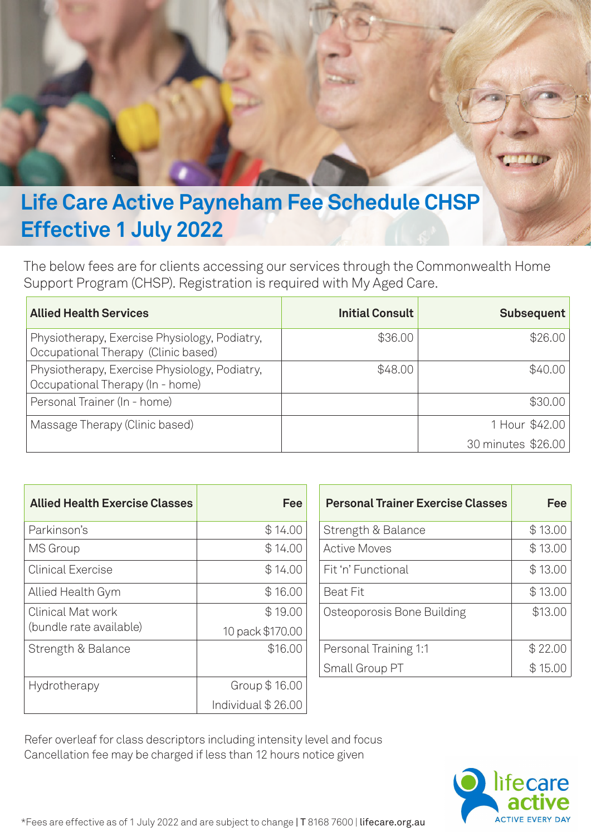

## **Effective 1 July 2022**

The below fees are for clients accessing our services through the Commonwealth Home Support Program (CHSP). Registration is required with My Aged Care.

| <b>Allied Health Services</b>                                                        | <b>Initial Consult</b> | Subsequent         |
|--------------------------------------------------------------------------------------|------------------------|--------------------|
| Physiotherapy, Exercise Physiology, Podiatry,<br>Occupational Therapy (Clinic based) | \$36.00                | \$26.00            |
| Physiotherapy, Exercise Physiology, Podiatry,<br>Occupational Therapy (In - home)    | \$48.00                | \$40.00            |
| Personal Trainer (In - home)                                                         |                        | \$30.00            |
| Massage Therapy (Clinic based)                                                       |                        | 1 Hour \$42.00     |
|                                                                                      |                        | 30 minutes \$26.00 |

| <b>Allied Health Exercise Classes</b> | <b>Fee</b>         | <b>Personal Trainer Exercise Classes</b> | Fee     |
|---------------------------------------|--------------------|------------------------------------------|---------|
| Parkinson's                           | \$14.00            | Strength & Balance                       | \$13.00 |
| <b>MS</b> Group                       | \$14.00            | <b>Active Moves</b>                      | \$13.00 |
| <b>Clinical Exercise</b>              | \$14.00            | Fit 'n' Functional                       | \$13.00 |
| Allied Health Gym                     | \$16.00            | <b>Beat Fit</b>                          | \$13.00 |
| <b>Clinical Mat work</b>              | \$19.00            | Osteoporosis Bone Building               | \$13.00 |
| (bundle rate available)               | 10 pack \$170.00   |                                          |         |
| Strength & Balance                    | \$16.00            | Personal Training 1:1                    | \$22.00 |
|                                       |                    | Small Group PT                           | \$15.00 |
| Hydrotherapy                          | Group \$16.00      |                                          |         |
|                                       | Individual \$26.00 |                                          |         |

| <b>Personal Trainer Exercise Classes</b> | Fee     |
|------------------------------------------|---------|
| Strength & Balance                       | \$13.00 |
| Active Moves                             | \$13.00 |
| Fit 'n' Functional                       | \$13.00 |
| <b>Beat Fit</b>                          | \$13.00 |
| Osteoporosis Bone Building               | \$13.00 |
| Personal Training 1:1                    | \$22.00 |
| Small Group PT                           | \$15.00 |

Refer overleaf for class descriptors including intensity level and focus Cancellation fee may be charged if less than 12 hours notice given